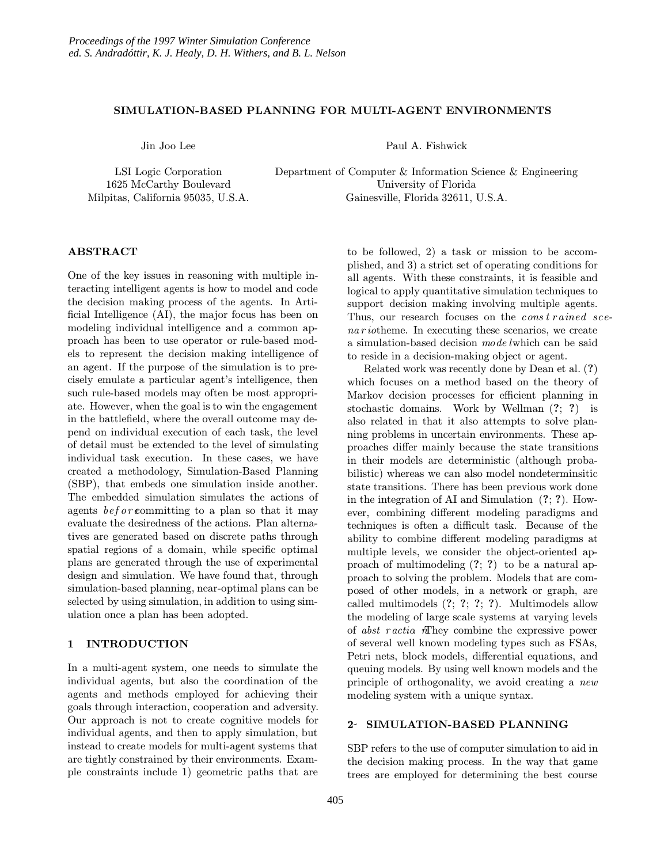## SIMULATION-BASED PLANNING FOR MULTI-AGENT ENVIRONMENTS

Jin Joo Lee

LSI Logic Corporation 1625 McCarthy Boulevard Milpitas, California 95035, U.S.A. Paul A. Fishwick

Department of Computer & Information Science & Engineering University of Florida Gainesville, Florida 32611, U.S.A.

## ABSTRACT

One of the key issues in reasoning with multiple interacting intelligent agents is how to model and code the decision making process of the agents. In Artificial Intelligence (AI), the major focus has been on modeling individual intelligence and a common approach has been to use operator or rule-based models to represent the decision making intelligence of an agent. If the purpose of the simulation is to precisely emulate a particular agent's intelligence, then such rule-based models may often be most appropriate. However, when the goal is to win the engagement in the battlefield, where the overall outcome may depend on individual execution of each task, the level of detail must be extended to the level of simulating individual task execution. In these cases, we have created a methodology, Simulation-Based Planning (SBP), that embeds one simulation inside another. The embedded simulation simulates the actions of agents  $before$ committing to a plan so that it may evaluate the desiredness of the actions. Plan alternatives are generated based on discrete paths through spatial regions of a domain, while specific optimal plans are generated through the use of experimental design and simulation. We have found that, through simulation-based planning, near-optimal plans can be selected by using simulation, in addition to using simulation once a plan has been adopted.

# 1 INTRODUCTION

In a multi-agent system, one needs to simulate the individual agents, but also the coordination of the agents and methods employed for achieving their goals through interaction, cooperation and adversity. Our approach is not to create cognitive models for individual agents, and then to apply simulation, but instead to create models for multi-agent systems that are tightly constrained by their environments. Example constraints include 1) geometric paths that are

to be followed, 2) a task or mission to be accomplished, and 3) a strict set of operating conditions for all agents. With these constraints, it is feasible and logical to apply quantitative simulation techniques to support decision making involving multiple agents. Thus, our research focuses on the  $\cos t \, r \, a \, inel \, s \, c \, e$ na r iotheme. In executing these scenarios, we create a simulation-based decision mode lwhich can be said to reside in a decision-making object or agent.

Related work was recently done by Dean et al. (?) which focuses on a method based on the theory of Markov decision processes for efficient planning in stochastic domains. Work by Wellman (?; ?) is also related in that it also attempts to solve planning problems in uncertain environments. These approaches differ mainly because the state transitions in their models are deterministic (although probabilistic) whereas we can also model nondeterminsitic state transitions. There has been previous work done in the integration of AI and Simulation (?; ?). However, combining different modeling paradigms and techniques is often a difficult task. Because of the ability to combine different modeling paradigms at multiple levels, we consider the object-oriented approach of multimodeling (?; ?) to be a natural approach to solving the problem. Models that are composed of other models, in a network or graph, are called multimodels (?; ?; ?; ?). Multimodels allow the modeling of large scale systems at varying levels of abst r actio. nThey combine the expressive power of several well known modeling types such as FSAs, Petri nets, block models, differential equations, and queuing models. By using well known models and the principle of orthogonality, we avoid creating a new modeling system with a unique syntax.

### 2 SIMULATION-BASED PLANNING

SBP refers to the use of computer simulation to aid in the decision making process. In the way that game trees are employed for determining the best course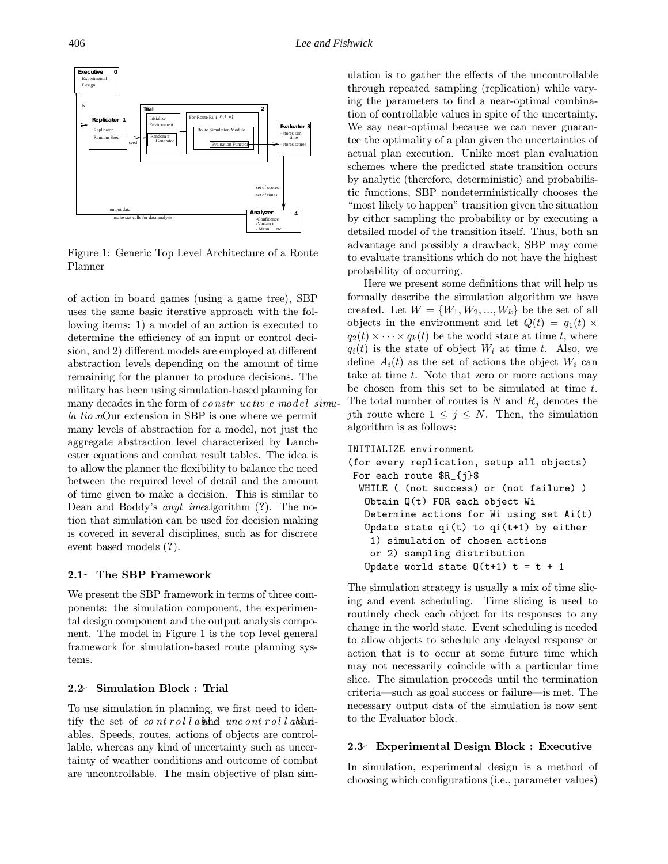

Figure 1: Generic Top Level Architecture of a Route Planner

of action in board games (using a game tree), SBP uses the same basic iterative approach with the following items: 1) a model of an action is executed to determine the efficiency of an input or control decision, and 2) different models are employed at different abstraction levels depending on the amount of time remaining for the planner to produce decisions. The military has been using simulation-based planning for many decades in the form of constructive emodel simula tio not extension in SBP is one where we permit many levels of abstraction for a model, not just the aggregate abstraction level characterized by Lanchester equations and combat result tables. The idea is to allow the planner the flexibility to balance the need between the required level of detail and the amount of time given to make a decision. This is similar to Dean and Boddy's anyt imealgorithm (?). The notion that simulation can be used for decision making is covered in several disciplines, such as for discrete event based models (?).

#### 2.1- The SBP Framework

We present the SBP framework in terms of three components: the simulation component, the experimental design component and the output analysis component. The model in Figure 1 is the top level general framework for simulation-based route planning systems.

#### 2.2 Simulation Block : Trial

To use simulation in planning, we first need to identify the set of controllable uncontrollable unit ables. Speeds, routes, actions of objects are controllable, whereas any kind of uncertainty such as uncertainty of weather conditions and outcome of combat are uncontrollable. The main objective of plan simulation is to gather the effects of the uncontrollable through repeated sampling (replication) while varying the parameters to find a near-optimal combination of controllable values in spite of the uncertainty. We say near-optimal because we can never guarantee the optimality of a plan given the uncertainties of actual plan execution. Unlike most plan evaluation schemes where the predicted state transition occurs by analytic (therefore, deterministic) and probabilistic functions, SBP nondeterministically chooses the "most likely to happen" transition given the situation by either sampling the probability or by executing a detailed model of the transition itself. Thus, both an advantage and possibly a drawback, SBP may come to evaluate transitions which do not have the highest probability of occurring.

Here we present some definitions that will help us formally describe the simulation algorithm we have created. Let  $W = \{W_1, W_2, ..., W_k\}$  be the set of all objects in the environment and let  $Q(t) = q_1(t) \times$  $q_2(t) \times \cdots \times q_k(t)$  be the world state at time t, where  $q_i(t)$  is the state of object  $W_i$  at time t. Also, we define  $A_i(t)$  as the set of actions the object  $W_i$  can take at time  $t$ . Note that zero or more actions may be chosen from this set to be simulated at time t. The total number of routes is  $N$  and  $R_i$  denotes the jth route where  $1 \leq j \leq N$ . Then, the simulation algorithm is as follows:

```
INITIALIZE environment
(for every replication, setup all objects)
For each route $R_{j}$
  WHILE ( (not success) or (not failure) )
   Obtain Q(t) FOR each object Wi
   Determine actions for Wi using set Ai(t)
   Update state qi(t) to qi(t+1) by either
   1) simulation of chosen actions
   or 2) sampling distribution
   Update world state Q(t+1) t = t + 1
```
The simulation strategy is usually a mix of time slicing and event scheduling. Time slicing is used to routinely check each object for its responses to any change in the world state. Event scheduling is needed to allow objects to schedule any delayed response or action that is to occur at some future time which may not necessarily coincide with a particular time slice. The simulation proceeds until the termination criteria—such as goal success or failure—is met. The necessary output data of the simulation is now sent to the Evaluator block.

## 2.3 Experimental Design Block : Executive

In simulation, experimental design is a method of choosing which configurations (i.e., parameter values)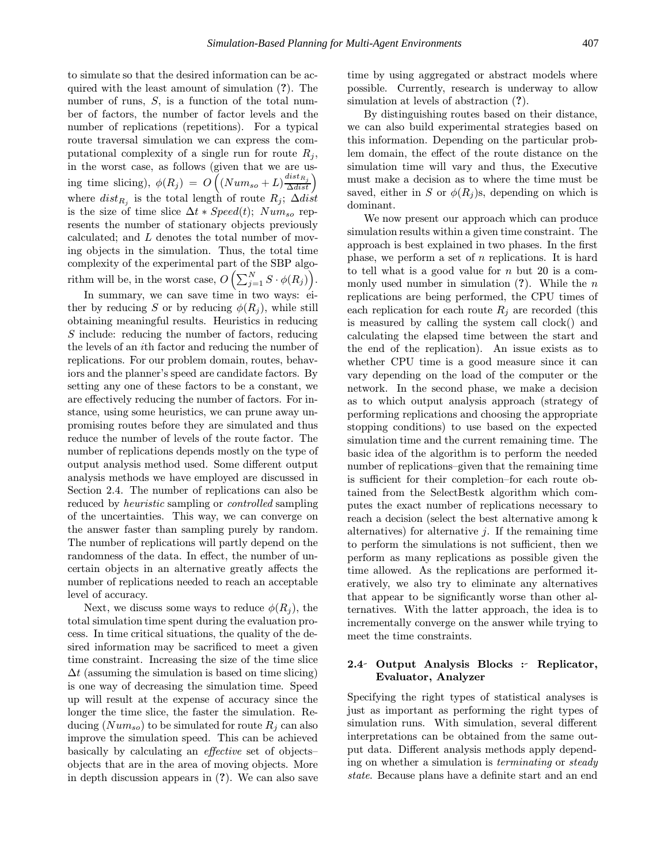to simulate so that the desired information can be acquired with the least amount of simulation (?). The number of runs, S, is a function of the total number of factors, the number of factor levels and the number of replications (repetitions). For a typical route traversal simulation we can express the computational complexity of a single run for route  $R_i$ , in the worst case, as follows (given that we are using time slicing),  $\phi(R_j) = O\left((Num_{so} + L)\frac{dist_{R_j}}{\Delta dist}\right)$  $\overline{ }$ where  $dist_{R_j}$  is the total length of route  $R_j$ ; ∆dist is the size of time slice  $\Delta t * Speed(t); Num<sub>so</sub> rep$ resents the number of stationary objects previously calculated; and L denotes the total number of moving objects in the simulation. Thus, the total time complexity of the experimental part of the SBP algorithm will be, in the worst case,  $O\left(\sum_{j=1}^N S \cdot \phi(R_j)\right)$ .

In summary, we can save time in two ways: either by reducing S or by reducing  $\phi(R_j)$ , while still obtaining meaningful results. Heuristics in reducing S include: reducing the number of factors, reducing the levels of an ith factor and reducing the number of replications. For our problem domain, routes, behaviors and the planner's speed are candidate factors. By setting any one of these factors to be a constant, we are effectively reducing the number of factors. For instance, using some heuristics, we can prune away unpromising routes before they are simulated and thus reduce the number of levels of the route factor. The number of replications depends mostly on the type of output analysis method used. Some different output analysis methods we have employed are discussed in Section 2.4. The number of replications can also be reduced by heuristic sampling or controlled sampling of the uncertainties. This way, we can converge on the answer faster than sampling purely by random. The number of replications will partly depend on the randomness of the data. In effect, the number of uncertain objects in an alternative greatly affects the number of replications needed to reach an acceptable level of accuracy.

Next, we discuss some ways to reduce  $\phi(R_i)$ , the total simulation time spent during the evaluation process. In time critical situations, the quality of the desired information may be sacrificed to meet a given time constraint. Increasing the size of the time slice  $\Delta t$  (assuming the simulation is based on time slicing) is one way of decreasing the simulation time. Speed up will result at the expense of accuracy since the longer the time slice, the faster the simulation. Reducing  $(Num_{so})$  to be simulated for route  $R_i$  can also improve the simulation speed. This can be achieved basically by calculating an effective set of objects– objects that are in the area of moving objects. More in depth discussion appears in (?). We can also save time by using aggregated or abstract models where possible. Currently, research is underway to allow simulation at levels of abstraction (?).

By distinguishing routes based on their distance, we can also build experimental strategies based on this information. Depending on the particular problem domain, the effect of the route distance on the simulation time will vary and thus, the Executive must make a decision as to where the time must be saved, either in S or  $\phi(R_i)$ s, depending on which is dominant.

We now present our approach which can produce simulation results within a given time constraint. The approach is best explained in two phases. In the first phase, we perform a set of  $n$  replications. It is hard to tell what is a good value for  $n$  but 20 is a commonly used number in simulation  $(?)$ . While the n replications are being performed, the CPU times of each replication for each route  $R_i$  are recorded (this is measured by calling the system call clock() and calculating the elapsed time between the start and the end of the replication). An issue exists as to whether CPU time is a good measure since it can vary depending on the load of the computer or the network. In the second phase, we make a decision as to which output analysis approach (strategy of performing replications and choosing the appropriate stopping conditions) to use based on the expected simulation time and the current remaining time. The basic idea of the algorithm is to perform the needed number of replications–given that the remaining time is sufficient for their completion–for each route obtained from the SelectBestk algorithm which computes the exact number of replications necessary to reach a decision (select the best alternative among k alternatives) for alternative  $j$ . If the remaining time to perform the simulations is not sufficient, then we perform as many replications as possible given the time allowed. As the replications are performed iteratively, we also try to eliminate any alternatives that appear to be significantly worse than other alternatives. With the latter approach, the idea is to incrementally converge on the answer while trying to meet the time constraints.

# 2.4 Output Analysis Blocks : Replicator, Evaluator, Analyzer

Specifying the right types of statistical analyses is just as important as performing the right types of simulation runs. With simulation, several different interpretations can be obtained from the same output data. Different analysis methods apply depending on whether a simulation is terminating or steady state. Because plans have a definite start and an end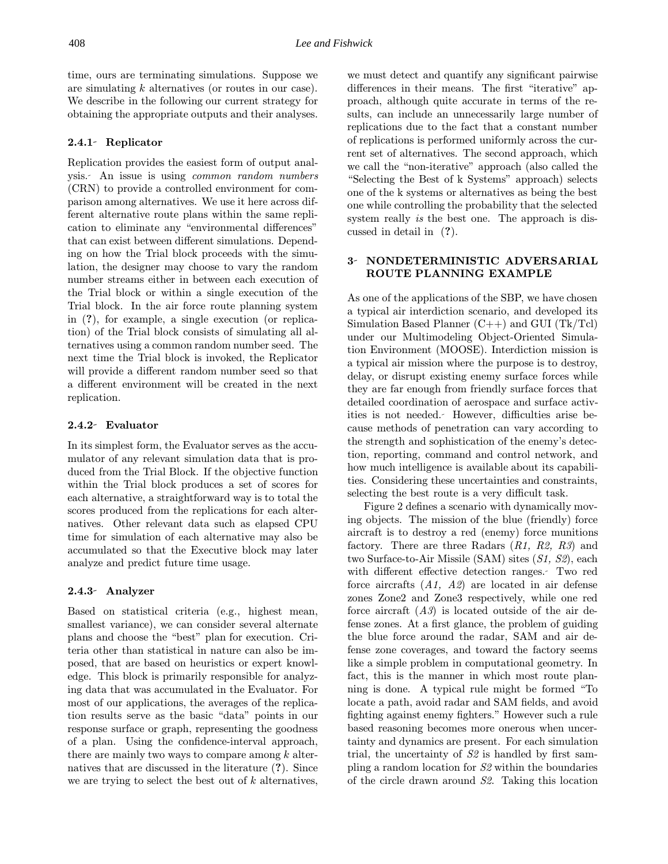time, ours are terminating simulations. Suppose we are simulating k alternatives (or routes in our case). We describe in the following our current strategy for obtaining the appropriate outputs and their analyses.

# 2.4.1 Replicator

Replication provides the easiest form of output analysis. An issue is using common random numbers (CRN) to provide a controlled environment for comparison among alternatives. We use it here across different alternative route plans within the same replication to eliminate any "environmental differences" that can exist between different simulations. Depending on how the Trial block proceeds with the simulation, the designer may choose to vary the random number streams either in between each execution of the Trial block or within a single execution of the Trial block. In the air force route planning system in (?), for example, a single execution (or replication) of the Trial block consists of simulating all alternatives using a common random number seed. The next time the Trial block is invoked, the Replicator will provide a different random number seed so that a different environment will be created in the next replication.

### 2.4.2 Evaluator

In its simplest form, the Evaluator serves as the accumulator of any relevant simulation data that is produced from the Trial Block. If the objective function within the Trial block produces a set of scores for each alternative, a straightforward way is to total the scores produced from the replications for each alternatives. Other relevant data such as elapsed CPU time for simulation of each alternative may also be accumulated so that the Executive block may later analyze and predict future time usage.

## 2.4.3 Analyzer

Based on statistical criteria (e.g., highest mean, smallest variance), we can consider several alternate plans and choose the "best" plan for execution. Criteria other than statistical in nature can also be imposed, that are based on heuristics or expert knowledge. This block is primarily responsible for analyzing data that was accumulated in the Evaluator. For most of our applications, the averages of the replication results serve as the basic "data" points in our response surface or graph, representing the goodness of a plan. Using the confidence-interval approach, there are mainly two ways to compare among  $k$  alternatives that are discussed in the literature (?). Since we are trying to select the best out of  $k$  alternatives, we must detect and quantify any significant pairwise differences in their means. The first "iterative" approach, although quite accurate in terms of the results, can include an unnecessarily large number of replications due to the fact that a constant number of replications is performed uniformly across the current set of alternatives. The second approach, which we call the "non-iterative" approach (also called the "Selecting the Best of k Systems" approach) selects one of the k systems or alternatives as being the best one while controlling the probability that the selected system really is the best one. The approach is discussed in detail in (?).

# 3- NONDETERMINISTIC ADVERSARIAL ROUTE PLANNING EXAMPLE

As one of the applications of the SBP, we have chosen a typical air interdiction scenario, and developed its Simulation Based Planner  $(C++)$  and GUI  $(Tk/Tc)$ under our Multimodeling Object-Oriented Simulation Environment (MOOSE). Interdiction mission is a typical air mission where the purpose is to destroy, delay, or disrupt existing enemy surface forces while they are far enough from friendly surface forces that detailed coordination of aerospace and surface activities is not needed. However, difficulties arise because methods of penetration can vary according to the strength and sophistication of the enemy's detection, reporting, command and control network, and how much intelligence is available about its capabilities. Considering these uncertainties and constraints, selecting the best route is a very difficult task.

Figure 2 defines a scenario with dynamically moving objects. The mission of the blue (friendly) force aircraft is to destroy a red (enemy) force munitions factory. There are three Radars  $(R1, R2, R3)$  and two Surface-to-Air Missile (SAM) sites (S1, S2), each with different effective detection ranges. Two red force aircrafts  $(A1, A2)$  are located in air defense zones Zone2 and Zone3 respectively, while one red force aircraft  $(A3)$  is located outside of the air defense zones. At a first glance, the problem of guiding the blue force around the radar, SAM and air defense zone coverages, and toward the factory seems like a simple problem in computational geometry. In fact, this is the manner in which most route planning is done. A typical rule might be formed "To locate a path, avoid radar and SAM fields, and avoid fighting against enemy fighters." However such a rule based reasoning becomes more onerous when uncertainty and dynamics are present. For each simulation trial, the uncertainty of S2 is handled by first sampling a random location for S2 within the boundaries of the circle drawn around S2. Taking this location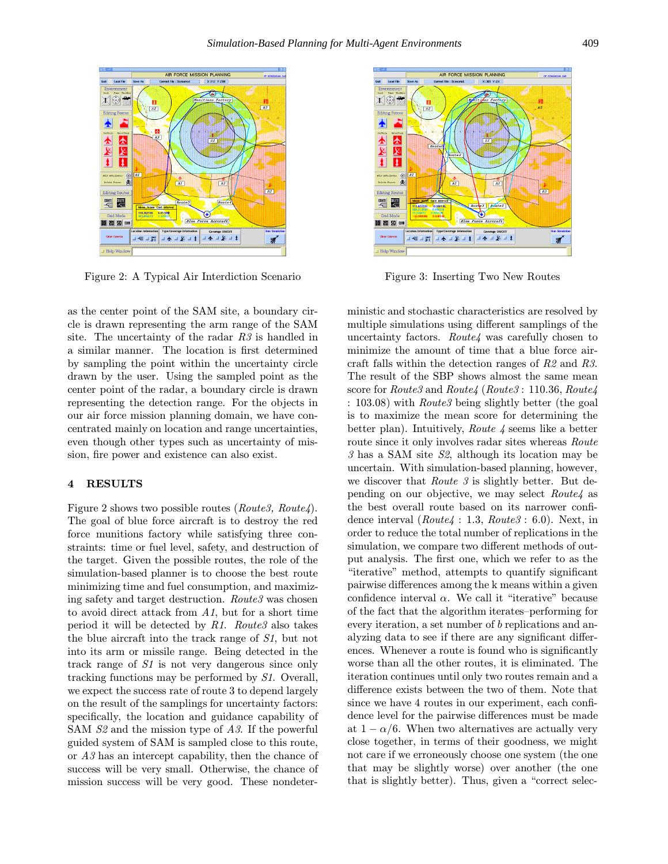

Figure 2: A Typical Air Interdiction Scenario

as the center point of the SAM site, a boundary circle is drawn representing the arm range of the SAM site. The uncertainty of the radar R3 is handled in a similar manner. The location is first determined by sampling the point within the uncertainty circle drawn by the user. Using the sampled point as the center point of the radar, a boundary circle is drawn representing the detection range. For the objects in our air force mission planning domain, we have concentrated mainly on location and range uncertainties, even though other types such as uncertainty of mission, fire power and existence can also exist.

#### 4 RESULTS

Figure 2 shows two possible routes (Route3, Route4). The goal of blue force aircraft is to destroy the red force munitions factory while satisfying three constraints: time or fuel level, safety, and destruction of the target. Given the possible routes, the role of the simulation-based planner is to choose the best route minimizing time and fuel consumption, and maximizing safety and target destruction. Route3 was chosen to avoid direct attack from  $A1$ , but for a short time period it will be detected by  $R1.$  Route3 also takes the blue aircraft into the track range of S1, but not into its arm or missile range. Being detected in the track range of S1 is not very dangerous since only tracking functions may be performed by S1. Overall, we expect the success rate of route 3 to depend largely on the result of the samplings for uncertainty factors: specifically, the location and guidance capability of SAM S2 and the mission type of A3. If the powerful guided system of SAM is sampled close to this route, or A3 has an intercept capability, then the chance of success will be very small. Otherwise, the chance of mission success will be very good. These nondeter-



Figure 3: Inserting Two New Routes

ministic and stochastic characteristics are resolved by multiple simulations using different samplings of the uncertainty factors. Route4 was carefully chosen to minimize the amount of time that a blue force aircraft falls within the detection ranges of R2 and R3. The result of the SBP shows almost the same mean score for Route3 and Route4 (Route3: 110.36, Route4 : 103.08) with Route3 being slightly better (the goal is to maximize the mean score for determining the better plan). Intuitively, Route 4 seems like a better route since it only involves radar sites whereas Route 3 has a SAM site S2, although its location may be uncertain. With simulation-based planning, however, we discover that *Route 3* is slightly better. But depending on our objective, we may select Route4 as the best overall route based on its narrower confidence interval  $(Route 4 : 1.3, Route 3 : 6.0)$ . Next, in order to reduce the total number of replications in the simulation, we compare two different methods of output analysis. The first one, which we refer to as the "iterative" method, attempts to quantify significant pairwise differences among the k means within a given confidence interval  $\alpha$ . We call it "iterative" because of the fact that the algorithm iterates–performing for every iteration, a set number of b replications and analyzing data to see if there are any significant differences. Whenever a route is found who is significantly worse than all the other routes, it is eliminated. The iteration continues until only two routes remain and a difference exists between the two of them. Note that since we have 4 routes in our experiment, each confidence level for the pairwise differences must be made at  $1 - \alpha/6$ . When two alternatives are actually very close together, in terms of their goodness, we might not care if we erroneously choose one system (the one that may be slightly worse) over another (the one that is slightly better). Thus, given a "correct selec-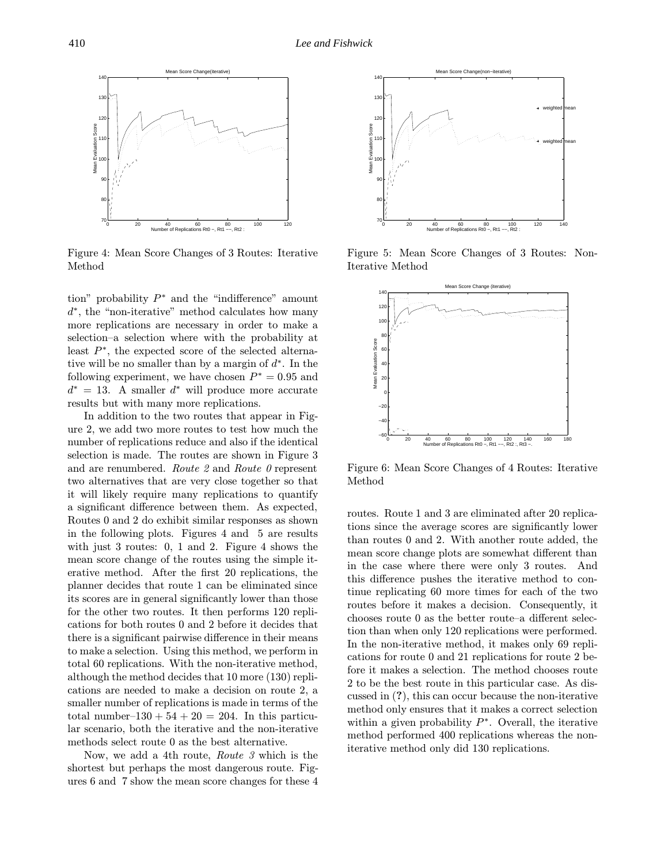

Figure 4: Mean Score Changes of 3 Routes: Iterative Method

tion" probability  $P^*$  and the "indifference" amount  $d^*$ , the "non-iterative" method calculates how many more replications are necessary in order to make a selection–a selection where with the probability at least P<sup>∗</sup>, the expected score of the selected alternative will be no smaller than by a margin of  $d^*$ . In the following experiment, we have chosen  $P^* = 0.95$  and  $d^* = 13$ . A smaller  $d^*$  will produce more accurate results but with many more replications.

In addition to the two routes that appear in Figure 2, we add two more routes to test how much the number of replications reduce and also if the identical selection is made. The routes are shown in Figure 3 and are renumbered. Route  $2$  and Route  $0$  represent two alternatives that are very close together so that it will likely require many replications to quantify a significant difference between them. As expected, Routes 0 and 2 do exhibit similar responses as shown in the following plots. Figures 4 and 5 are results with just 3 routes: 0, 1 and 2. Figure 4 shows the mean score change of the routes using the simple iterative method. After the first 20 replications, the planner decides that route 1 can be eliminated since its scores are in general significantly lower than those for the other two routes. It then performs 120 replications for both routes 0 and 2 before it decides that there is a significant pairwise difference in their means to make a selection. Using this method, we perform in total 60 replications. With the non-iterative method, although the method decides that 10 more (130) replications are needed to make a decision on route 2, a smaller number of replications is made in terms of the total number–130 +  $54 + 20 = 204$ . In this particular scenario, both the iterative and the non-iterative methods select route 0 as the best alternative.

Now, we add a 4th route, Route 3 which is the shortest but perhaps the most dangerous route. Figures 6 and 7 show the mean score changes for these 4



Figure 5: Mean Score Changes of 3 Routes: Non-Iterative Method



Figure 6: Mean Score Changes of 4 Routes: Iterative Method

routes. Route 1 and 3 are eliminated after 20 replications since the average scores are significantly lower than routes 0 and 2. With another route added, the mean score change plots are somewhat different than in the case where there were only 3 routes. And this difference pushes the iterative method to continue replicating 60 more times for each of the two routes before it makes a decision. Consequently, it chooses route 0 as the better route–a different selection than when only 120 replications were performed. In the non-iterative method, it makes only 69 replications for route 0 and 21 replications for route 2 before it makes a selection. The method chooses route 2 to be the best route in this particular case. As discussed in (?), this can occur because the non-iterative method only ensures that it makes a correct selection within a given probability  $P^*$ . Overall, the iterative method performed 400 replications whereas the noniterative method only did 130 replications.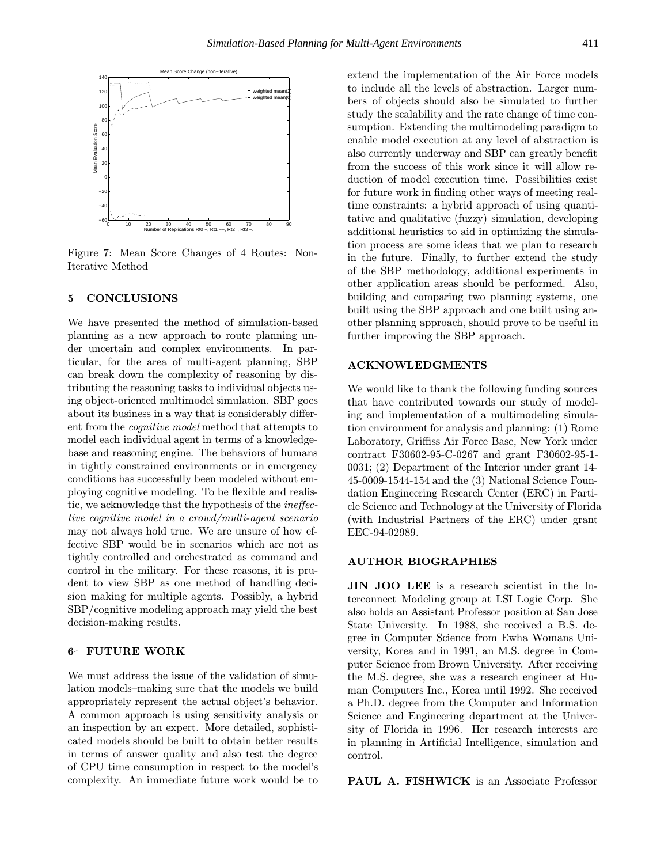

Figure 7: Mean Score Changes of 4 Routes: Non-Iterative Method

#### 5 CONCLUSIONS

We have presented the method of simulation-based planning as a new approach to route planning under uncertain and complex environments. In particular, for the area of multi-agent planning, SBP can break down the complexity of reasoning by distributing the reasoning tasks to individual objects using object-oriented multimodel simulation. SBP goes about its business in a way that is considerably different from the cognitive model method that attempts to model each individual agent in terms of a knowledgebase and reasoning engine. The behaviors of humans in tightly constrained environments or in emergency conditions has successfully been modeled without employing cognitive modeling. To be flexible and realistic, we acknowledge that the hypothesis of the ineffective cognitive model in a crowd/multi-agent scenario may not always hold true. We are unsure of how effective SBP would be in scenarios which are not as tightly controlled and orchestrated as command and control in the military. For these reasons, it is prudent to view SBP as one method of handling decision making for multiple agents. Possibly, a hybrid SBP/cognitive modeling approach may yield the best decision-making results.

#### 6 FUTURE WORK

We must address the issue of the validation of simulation models–making sure that the models we build appropriately represent the actual object's behavior. A common approach is using sensitivity analysis or an inspection by an expert. More detailed, sophisticated models should be built to obtain better results in terms of answer quality and also test the degree of CPU time consumption in respect to the model's complexity. An immediate future work would be to

extend the implementation of the Air Force models to include all the levels of abstraction. Larger numbers of objects should also be simulated to further study the scalability and the rate change of time consumption. Extending the multimodeling paradigm to enable model execution at any level of abstraction is also currently underway and SBP can greatly benefit from the success of this work since it will allow reduction of model execution time. Possibilities exist for future work in finding other ways of meeting realtime constraints: a hybrid approach of using quantitative and qualitative (fuzzy) simulation, developing additional heuristics to aid in optimizing the simulation process are some ideas that we plan to research in the future. Finally, to further extend the study of the SBP methodology, additional experiments in other application areas should be performed. Also, building and comparing two planning systems, one built using the SBP approach and one built using another planning approach, should prove to be useful in further improving the SBP approach.

## ACKNOWLEDGMENTS

We would like to thank the following funding sources that have contributed towards our study of modeling and implementation of a multimodeling simulation environment for analysis and planning: (1) Rome Laboratory, Griffiss Air Force Base, New York under contract F30602-95-C-0267 and grant F30602-95-1- 0031; (2) Department of the Interior under grant 14- 45-0009-1544-154 and the (3) National Science Foundation Engineering Research Center (ERC) in Particle Science and Technology at the University of Florida (with Industrial Partners of the ERC) under grant EEC-94-02989.

### AUTHOR BIOGRAPHIES

JIN JOO LEE is a research scientist in the Interconnect Modeling group at LSI Logic Corp. She also holds an Assistant Professor position at San Jose State University. In 1988, she received a B.S. degree in Computer Science from Ewha Womans University, Korea and in 1991, an M.S. degree in Computer Science from Brown University. After receiving the M.S. degree, she was a research engineer at Human Computers Inc., Korea until 1992. She received a Ph.D. degree from the Computer and Information Science and Engineering department at the University of Florida in 1996. Her research interests are in planning in Artificial Intelligence, simulation and control.

PAUL A. FISHWICK is an Associate Professor